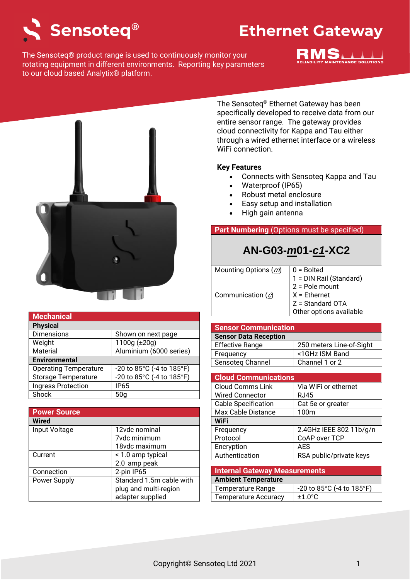

The Sensoteq® product range is used to continuously monitor your rotating equipment in different environments. Reporting key parameters to our cloud based Analytix® platform.





| <b>Mechanical</b>            |                           |
|------------------------------|---------------------------|
| <b>Physical</b>              |                           |
| <b>Dimensions</b>            | Shown on next page        |
| Weight                       | 1100g (±20g)              |
| Material                     | Aluminium (6000 series)   |
| <b>Environmental</b>         |                           |
| <b>Operating Temperature</b> | -20 to 85°C (-4 to 185°F) |
| <b>Storage Temperature</b>   | -20 to 85°C (-4 to 185°F) |
| <b>Ingress Protection</b>    | <b>IP65</b>               |
| Shock                        | 50a                       |

| <b>Power Source</b> |                          |
|---------------------|--------------------------|
| <b>Wired</b>        |                          |
| Input Voltage       | 12vdc nominal            |
|                     | 7vdc minimum             |
|                     | 18vdc maximum            |
| Current             | < 1.0 amp typical        |
|                     | 2.0 amp peak             |
| Connection          | 2-pin IP65               |
| Power Supply        | Standard 1.5m cable with |
|                     | plug and multi-region    |
|                     | adapter supplied         |

The Sensoteq® Ethernet Gateway has been specifically developed to receive data from our entire sensor range. The gateway provides cloud connectivity for Kappa and Tau either through a wired ethernet interface or a wireless WiFi connection.

### **Key Features**

- Connects with Sensoteq Kappa and Tau
- Waterproof (IP65)
- Robust metal enclosure
- Easy setup and installation
- High gain antenna

## **Part Numbering** (Options must be specified)

# **AN-G03-***m***01-***c1***-XC2**

| Mounting Options (m) | $\vert 0$ = Bolted      |
|----------------------|-------------------------|
|                      | 1 = DIN Rail (Standard) |
|                      | $2 =$ Pole mount        |
| Communication $(c)$  | $X =$ Ethernet          |
|                      | Z = Standard OTA        |
|                      | Other options available |

| <b>Sensor Communication</b>  |                          |  |
|------------------------------|--------------------------|--|
| <b>Sensor Data Reception</b> |                          |  |
| <b>Effective Range</b>       | 250 meters Line-of-Sight |  |
| Frequency                    | <1GHz ISM Band           |  |
| Sensoteg Channel             | Channel 1 or 2           |  |

| <b>Cloud Communications</b> |                         |  |
|-----------------------------|-------------------------|--|
| <b>Cloud Comms Link</b>     | Via WiFi or ethernet    |  |
| <b>Wired Connector</b>      | <b>RJ45</b>             |  |
| <b>Cable Specification</b>  | Cat 5e or greater       |  |
| Max Cable Distance          | 100m                    |  |
| <b>WiFi</b>                 |                         |  |
| Frequency                   | 2.4GHz IEEE 802 11b/g/n |  |
| Protocol                    | CoAP over TCP           |  |
| Encryption                  | <b>AES</b>              |  |
| Authentication              | RSA public/private keys |  |
|                             |                         |  |

| <b>Internal Gateway Measurements</b> |                           |  |
|--------------------------------------|---------------------------|--|
| <b>Ambient Temperature</b>           |                           |  |
| Temperature Range                    | -20 to 85°C (-4 to 185°F) |  |
| <b>Temperature Accuracy</b>          | $±1.0^{\circ}$ C          |  |